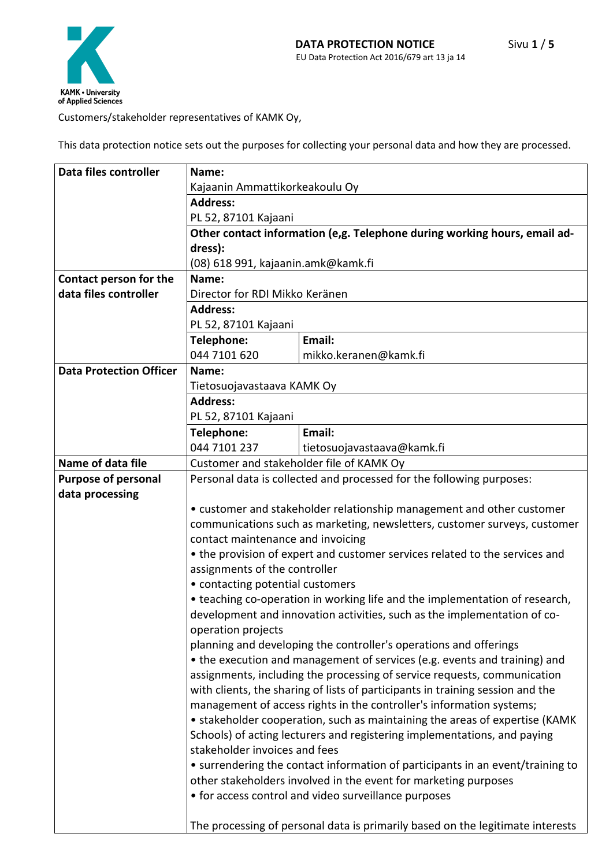Customers/stakeholder representatives of KAMK Oy,

This data protection notice sets out the purposes for collecting your personal data and how they are processed.

| Data files controller          | Name:                                                                                                                                                      |                                                                                |  |
|--------------------------------|------------------------------------------------------------------------------------------------------------------------------------------------------------|--------------------------------------------------------------------------------|--|
|                                | Kajaanin Ammattikorkeakoulu Oy                                                                                                                             |                                                                                |  |
|                                | <b>Address:</b>                                                                                                                                            |                                                                                |  |
|                                | PL 52, 87101 Kajaani                                                                                                                                       |                                                                                |  |
|                                | Other contact information (e,g. Telephone during working hours, email ad-                                                                                  |                                                                                |  |
|                                | dress):                                                                                                                                                    |                                                                                |  |
|                                | (08) 618 991, kajaanin.amk@kamk.fi                                                                                                                         |                                                                                |  |
| Contact person for the         | Name:                                                                                                                                                      |                                                                                |  |
| data files controller          | Director for RDI Mikko Keränen                                                                                                                             |                                                                                |  |
|                                | <b>Address:</b>                                                                                                                                            |                                                                                |  |
|                                | PL 52, 87101 Kajaani                                                                                                                                       |                                                                                |  |
|                                | Telephone:                                                                                                                                                 | Email:                                                                         |  |
|                                | 044 7101 620                                                                                                                                               | mikko.keranen@kamk.fi                                                          |  |
| <b>Data Protection Officer</b> | Name:                                                                                                                                                      |                                                                                |  |
|                                | Tietosuojavastaava KAMK Oy                                                                                                                                 |                                                                                |  |
|                                | <b>Address:</b>                                                                                                                                            |                                                                                |  |
|                                | PL 52, 87101 Kajaani                                                                                                                                       |                                                                                |  |
|                                | Telephone:                                                                                                                                                 | Email:                                                                         |  |
|                                | 044 7101 237                                                                                                                                               | tietosuojavastaava@kamk.fi                                                     |  |
| Name of data file              | Customer and stakeholder file of KAMK Oy                                                                                                                   |                                                                                |  |
| <b>Purpose of personal</b>     |                                                                                                                                                            | Personal data is collected and processed for the following purposes:           |  |
| data processing                |                                                                                                                                                            |                                                                                |  |
|                                | • customer and stakeholder relationship management and other customer                                                                                      |                                                                                |  |
|                                | communications such as marketing, newsletters, customer surveys, customer                                                                                  |                                                                                |  |
|                                | contact maintenance and invoicing                                                                                                                          |                                                                                |  |
|                                | • the provision of expert and customer services related to the services and                                                                                |                                                                                |  |
|                                | assignments of the controller                                                                                                                              |                                                                                |  |
|                                | • contacting potential customers                                                                                                                           |                                                                                |  |
|                                | • teaching co-operation in working life and the implementation of research,                                                                                |                                                                                |  |
|                                | development and innovation activities, such as the implementation of co-                                                                                   |                                                                                |  |
|                                | operation projects<br>planning and developing the controller's operations and offerings                                                                    |                                                                                |  |
|                                |                                                                                                                                                            | • the execution and management of services (e.g. events and training) and      |  |
|                                |                                                                                                                                                            |                                                                                |  |
|                                | assignments, including the processing of service requests, communication<br>with clients, the sharing of lists of participants in training session and the |                                                                                |  |
|                                |                                                                                                                                                            | management of access rights in the controller's information systems;           |  |
|                                |                                                                                                                                                            | • stakeholder cooperation, such as maintaining the areas of expertise (KAMK    |  |
|                                |                                                                                                                                                            | Schools) of acting lecturers and registering implementations, and paying       |  |
|                                | stakeholder invoices and fees                                                                                                                              |                                                                                |  |
|                                | • surrendering the contact information of participants in an event/training to                                                                             |                                                                                |  |
|                                | other stakeholders involved in the event for marketing purposes                                                                                            |                                                                                |  |
|                                | • for access control and video surveillance purposes                                                                                                       |                                                                                |  |
|                                |                                                                                                                                                            |                                                                                |  |
|                                |                                                                                                                                                            | The processing of personal data is primarily based on the legitimate interests |  |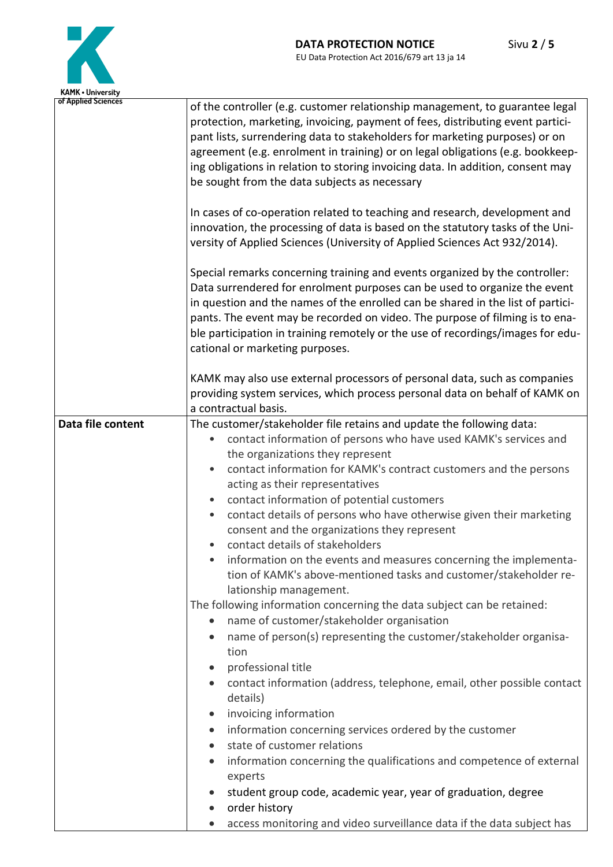

| KAMK • University   |                                                                                                                                                                                                                                                                                                                                                                                                                                                                                                                                                                                                                                                                                                                                                                                                                                                                                                                                                                                                                                                                                                                                                                                                                                                                                                                                                                                                                                                                             |
|---------------------|-----------------------------------------------------------------------------------------------------------------------------------------------------------------------------------------------------------------------------------------------------------------------------------------------------------------------------------------------------------------------------------------------------------------------------------------------------------------------------------------------------------------------------------------------------------------------------------------------------------------------------------------------------------------------------------------------------------------------------------------------------------------------------------------------------------------------------------------------------------------------------------------------------------------------------------------------------------------------------------------------------------------------------------------------------------------------------------------------------------------------------------------------------------------------------------------------------------------------------------------------------------------------------------------------------------------------------------------------------------------------------------------------------------------------------------------------------------------------------|
| of Applied Sciences | of the controller (e.g. customer relationship management, to guarantee legal<br>protection, marketing, invoicing, payment of fees, distributing event partici-<br>pant lists, surrendering data to stakeholders for marketing purposes) or on<br>agreement (e.g. enrolment in training) or on legal obligations (e.g. bookkeep-<br>ing obligations in relation to storing invoicing data. In addition, consent may<br>be sought from the data subjects as necessary                                                                                                                                                                                                                                                                                                                                                                                                                                                                                                                                                                                                                                                                                                                                                                                                                                                                                                                                                                                                         |
|                     | In cases of co-operation related to teaching and research, development and<br>innovation, the processing of data is based on the statutory tasks of the Uni-<br>versity of Applied Sciences (University of Applied Sciences Act 932/2014).                                                                                                                                                                                                                                                                                                                                                                                                                                                                                                                                                                                                                                                                                                                                                                                                                                                                                                                                                                                                                                                                                                                                                                                                                                  |
|                     | Special remarks concerning training and events organized by the controller:<br>Data surrendered for enrolment purposes can be used to organize the event<br>in question and the names of the enrolled can be shared in the list of partici-<br>pants. The event may be recorded on video. The purpose of filming is to ena-<br>ble participation in training remotely or the use of recordings/images for edu-<br>cational or marketing purposes.                                                                                                                                                                                                                                                                                                                                                                                                                                                                                                                                                                                                                                                                                                                                                                                                                                                                                                                                                                                                                           |
|                     | KAMK may also use external processors of personal data, such as companies<br>providing system services, which process personal data on behalf of KAMK on<br>a contractual basis.                                                                                                                                                                                                                                                                                                                                                                                                                                                                                                                                                                                                                                                                                                                                                                                                                                                                                                                                                                                                                                                                                                                                                                                                                                                                                            |
| Data file content   | The customer/stakeholder file retains and update the following data:<br>contact information of persons who have used KAMK's services and<br>$\bullet$<br>the organizations they represent<br>contact information for KAMK's contract customers and the persons<br>$\bullet$<br>acting as their representatives<br>contact information of potential customers<br>$\bullet$<br>contact details of persons who have otherwise given their marketing<br>$\bullet$<br>consent and the organizations they represent<br>contact details of stakeholders<br>۰<br>information on the events and measures concerning the implementa-<br>tion of KAMK's above-mentioned tasks and customer/stakeholder re-<br>lationship management.<br>The following information concerning the data subject can be retained:<br>name of customer/stakeholder organisation<br>$\bullet$<br>name of person(s) representing the customer/stakeholder organisa-<br>tion<br>professional title<br>contact information (address, telephone, email, other possible contact<br>details)<br>invoicing information<br>information concerning services ordered by the customer<br>$\bullet$<br>state of customer relations<br>$\bullet$<br>information concerning the qualifications and competence of external<br>$\bullet$<br>experts<br>student group code, academic year, year of graduation, degree<br>$\bullet$<br>order history<br>access monitoring and video surveillance data if the data subject has |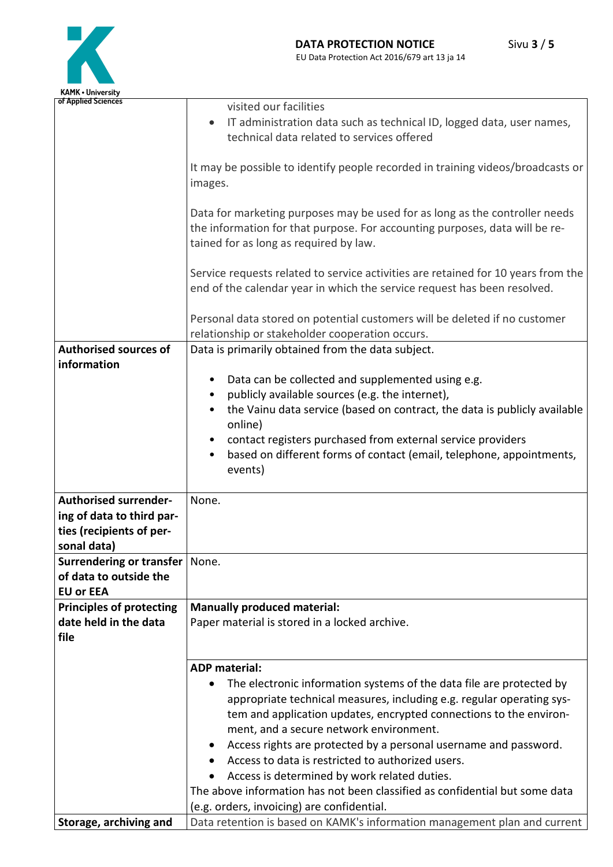

| <b>KAMK • University</b>                                 |                                                                                                                       |  |  |
|----------------------------------------------------------|-----------------------------------------------------------------------------------------------------------------------|--|--|
| of Applied Sciences                                      | visited our facilities                                                                                                |  |  |
|                                                          | IT administration data such as technical ID, logged data, user names,<br>$\bullet$                                    |  |  |
|                                                          | technical data related to services offered                                                                            |  |  |
|                                                          |                                                                                                                       |  |  |
|                                                          | It may be possible to identify people recorded in training videos/broadcasts or                                       |  |  |
|                                                          | images.                                                                                                               |  |  |
|                                                          | Data for marketing purposes may be used for as long as the controller needs                                           |  |  |
|                                                          | the information for that purpose. For accounting purposes, data will be re-<br>tained for as long as required by law. |  |  |
|                                                          |                                                                                                                       |  |  |
|                                                          |                                                                                                                       |  |  |
|                                                          | Service requests related to service activities are retained for 10 years from the                                     |  |  |
|                                                          | end of the calendar year in which the service request has been resolved.                                              |  |  |
|                                                          |                                                                                                                       |  |  |
|                                                          | Personal data stored on potential customers will be deleted if no customer                                            |  |  |
|                                                          | relationship or stakeholder cooperation occurs.                                                                       |  |  |
| <b>Authorised sources of</b>                             | Data is primarily obtained from the data subject.                                                                     |  |  |
| information                                              |                                                                                                                       |  |  |
|                                                          | Data can be collected and supplemented using e.g.                                                                     |  |  |
|                                                          | publicly available sources (e.g. the internet),<br>٠                                                                  |  |  |
|                                                          | the Vainu data service (based on contract, the data is publicly available<br>online)                                  |  |  |
|                                                          | contact registers purchased from external service providers                                                           |  |  |
|                                                          | based on different forms of contact (email, telephone, appointments,<br>$\bullet$                                     |  |  |
|                                                          | events)                                                                                                               |  |  |
|                                                          |                                                                                                                       |  |  |
| <b>Authorised surrender-</b>                             | None.                                                                                                                 |  |  |
| ing of data to third par-                                |                                                                                                                       |  |  |
| ties (recipients of per-                                 |                                                                                                                       |  |  |
| sonal data)                                              |                                                                                                                       |  |  |
| <b>Surrendering or transfer</b>                          | None.                                                                                                                 |  |  |
| of data to outside the                                   |                                                                                                                       |  |  |
| <b>EU or EEA</b>                                         |                                                                                                                       |  |  |
| <b>Principles of protecting</b><br>date held in the data | <b>Manually produced material:</b><br>Paper material is stored in a locked archive.                                   |  |  |
| file                                                     |                                                                                                                       |  |  |
|                                                          |                                                                                                                       |  |  |
|                                                          | <b>ADP</b> material:                                                                                                  |  |  |
|                                                          | The electronic information systems of the data file are protected by<br>$\bullet$                                     |  |  |
|                                                          | appropriate technical measures, including e.g. regular operating sys-                                                 |  |  |
|                                                          | tem and application updates, encrypted connections to the environ-                                                    |  |  |
|                                                          | ment, and a secure network environment.                                                                               |  |  |
|                                                          | Access rights are protected by a personal username and password.                                                      |  |  |
|                                                          | Access to data is restricted to authorized users.                                                                     |  |  |
|                                                          | Access is determined by work related duties.<br>$\bullet$                                                             |  |  |
|                                                          | The above information has not been classified as confidential but some data                                           |  |  |
|                                                          | (e.g. orders, invoicing) are confidential.                                                                            |  |  |
| Storage, archiving and                                   | Data retention is based on KAMK's information management plan and current                                             |  |  |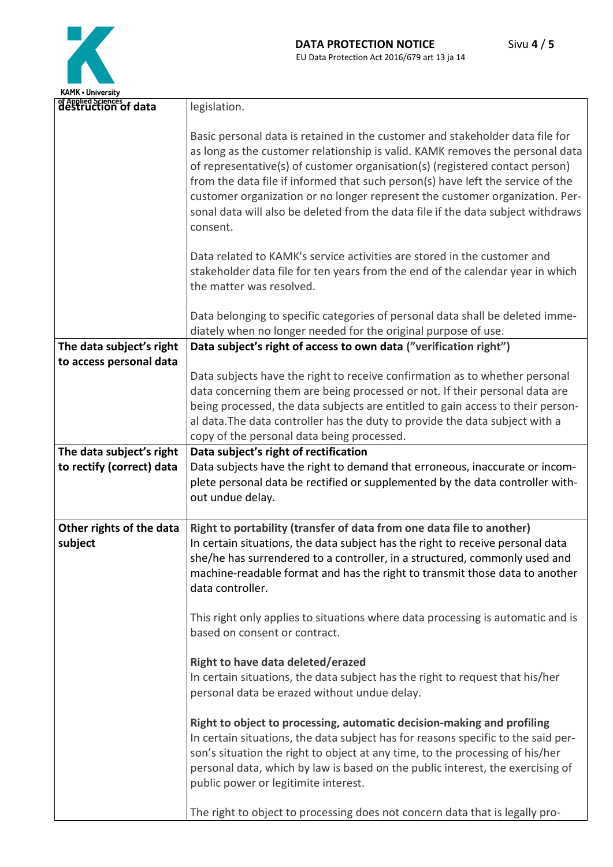

| of Applied Sciences<br>destruction of data | legislation.                                                                                                                                                                                                                                                                                                                                                                                                                                                                                                      |
|--------------------------------------------|-------------------------------------------------------------------------------------------------------------------------------------------------------------------------------------------------------------------------------------------------------------------------------------------------------------------------------------------------------------------------------------------------------------------------------------------------------------------------------------------------------------------|
|                                            | Basic personal data is retained in the customer and stakeholder data file for<br>as long as the customer relationship is valid. KAMK removes the personal data<br>of representative(s) of customer organisation(s) (registered contact person)<br>from the data file if informed that such person(s) have left the service of the<br>customer organization or no longer represent the customer organization. Per-<br>sonal data will also be deleted from the data file if the data subject withdraws<br>consent. |
|                                            | Data related to KAMK's service activities are stored in the customer and<br>stakeholder data file for ten years from the end of the calendar year in which<br>the matter was resolved.                                                                                                                                                                                                                                                                                                                            |
|                                            | Data belonging to specific categories of personal data shall be deleted imme-<br>diately when no longer needed for the original purpose of use.                                                                                                                                                                                                                                                                                                                                                                   |
| The data subject's right                   | Data subject's right of access to own data ("verification right")                                                                                                                                                                                                                                                                                                                                                                                                                                                 |
| to access personal data                    | Data subjects have the right to receive confirmation as to whether personal<br>data concerning them are being processed or not. If their personal data are<br>being processed, the data subjects are entitled to gain access to their person-<br>al data. The data controller has the duty to provide the data subject with a<br>copy of the personal data being processed.                                                                                                                                       |
| The data subject's right                   | Data subject's right of rectification                                                                                                                                                                                                                                                                                                                                                                                                                                                                             |
| to rectify (correct) data                  | Data subjects have the right to demand that erroneous, inaccurate or incom-<br>plete personal data be rectified or supplemented by the data controller with-<br>out undue delay.                                                                                                                                                                                                                                                                                                                                  |
| Other rights of the data                   | Right to portability (transfer of data from one data file to another)                                                                                                                                                                                                                                                                                                                                                                                                                                             |
| subject                                    | In certain situations, the data subject has the right to receive personal data<br>she/he has surrendered to a controller, in a structured, commonly used and<br>machine-readable format and has the right to transmit those data to another<br>data controller.                                                                                                                                                                                                                                                   |
|                                            | This right only applies to situations where data processing is automatic and is<br>based on consent or contract.                                                                                                                                                                                                                                                                                                                                                                                                  |
|                                            | Right to have data deleted/erazed<br>In certain situations, the data subject has the right to request that his/her<br>personal data be erazed without undue delay.                                                                                                                                                                                                                                                                                                                                                |
|                                            | Right to object to processing, automatic decision-making and profiling<br>In certain situations, the data subject has for reasons specific to the said per-<br>son's situation the right to object at any time, to the processing of his/her<br>personal data, which by law is based on the public interest, the exercising of<br>public power or legitimite interest.                                                                                                                                            |
|                                            | The right to object to processing does not concern data that is legally pro-                                                                                                                                                                                                                                                                                                                                                                                                                                      |